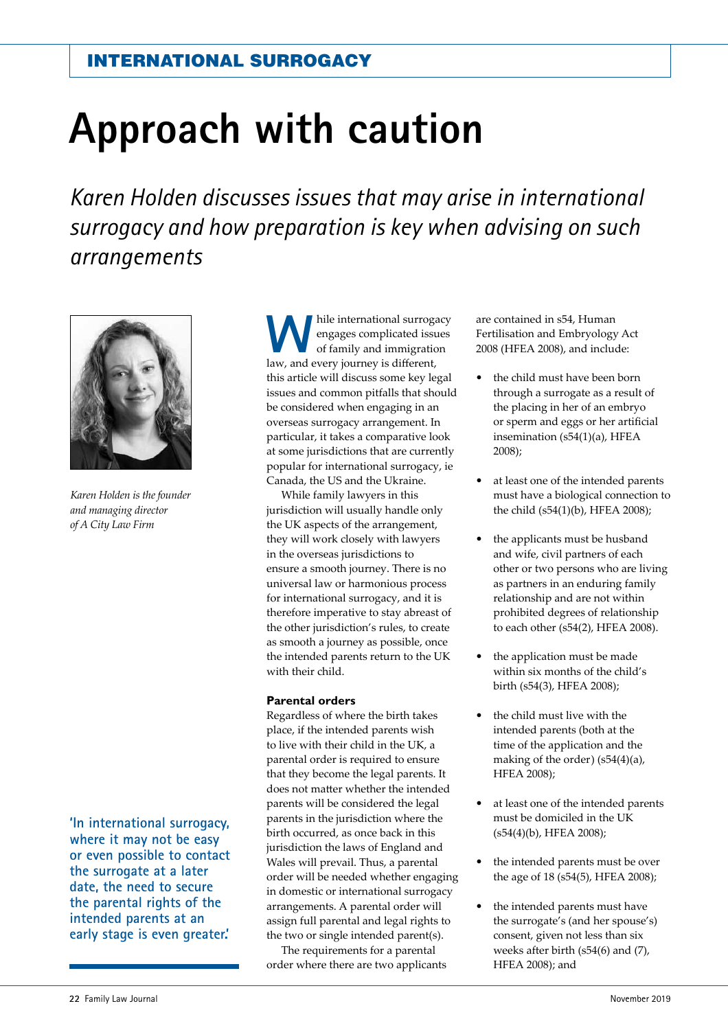# **Approach with caution**

*Karen Holden discusses issues that may arise in international surrogacy and how preparation is key when advising on such arrangements*



*Karen Holden is the founder and managing director of A City Law Firm*

**'In international surrogacy, where it may not be easy or even possible to contact the surrogate at a later date, the need to secure the parental rights of the intended parents at an early stage is even greater.'**

hile international surrogacy engages complicated issues of family and immigration law, and every journey is diferent, this article will discuss some key legal issues and common pitfalls that should be considered when engaging in an overseas surrogacy arrangement. In particular, it takes a comparative look at some jurisdictions that are currently popular for international surrogacy, ie Canada, the US and the Ukraine.

While family lawyers in this jurisdiction will usually handle only the UK aspects of the arrangement, they will work closely with lawyers in the overseas jurisdictions to ensure a smooth journey. There is no universal law or harmonious process for international surrogacy, and it is therefore imperative to stay abreast of the other jurisdiction's rules, to create as smooth a journey as possible, once the intended parents return to the UK with their child.

#### **Parental orders**

Regardless of where the birth takes place, if the intended parents wish to live with their child in the UK, a parental order is required to ensure that they become the legal parents. It does not matter whether the intended parents will be considered the legal parents in the jurisdiction where the birth occurred, as once back in this jurisdiction the laws of England and Wales will prevail. Thus, a parental order will be needed whether engaging in domestic or international surrogacy arrangements. A parental order will assign full parental and legal rights to the two or single intended parent(s).

The requirements for a parental order where there are two applicants are contained in s54, Human Fertilisation and Embryology Act 2008 (HFEA 2008), and include:

- **t** the child must have been born through a surrogate as a result of the placing in her of an embryo or sperm and eggs or her artifcial insemination (s54(1)(a), HFEA 2008);
- **t** at least one of the intended parents must have a biological connection to the child (s54(1)(b), HFEA 2008);
- **t** the applicants must be husband and wife, civil partners of each other or two persons who are living as partners in an enduring family relationship and are not within prohibited degrees of relationship to each other (s54(2), HFEA 2008).
- **t** the application must be made within six months of the child's birth (s54(3), HFEA 2008);
- **t** the child must live with the intended parents (both at the time of the application and the making of the order) (s54(4)(a), HFEA 2008);
- **t** at least one of the intended parents must be domiciled in the UK (s54(4)(b), HFEA 2008);
- the intended parents must be over the age of 18 (s54(5), HFEA 2008);
- **t** the intended parents must have the surrogate's (and her spouse's) consent, given not less than six weeks after birth (s54(6) and (7), HFEA 2008); and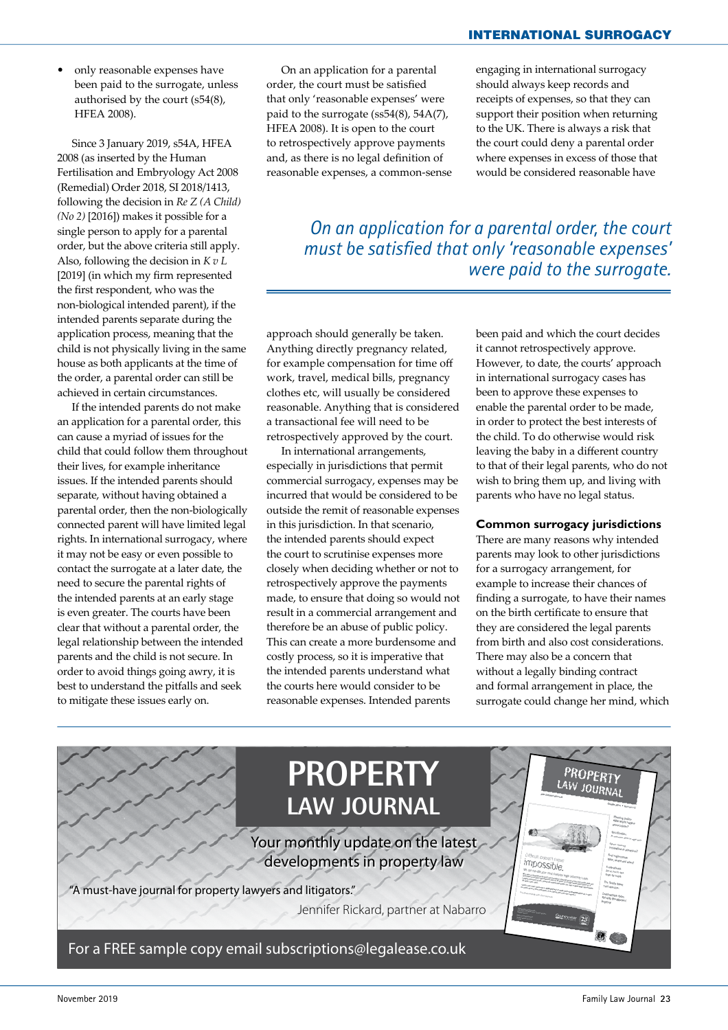**t** only reasonable expenses have been paid to the surrogate, unless authorised by the court (s54(8), HFEA 2008).

Since 3 January 2019, s54A, HFEA 2008 (as inserted by the Human Fertilisation and Embryology Act 2008 (Remedial) Order 2018, SI 2018/1413, following the decision in *Re Z (A Child) (No 2)* [2016]) makes it possible for a single person to apply for a parental order, but the above criteria still apply. Also, following the decision in *K v L* [2019] (in which my firm represented the frst respondent, who was the non-biological intended parent), if the intended parents separate during the application process, meaning that the child is not physically living in the same house as both applicants at the time of the order, a parental order can still be achieved in certain circumstances.

If the intended parents do not make an application for a parental order, this can cause a myriad of issues for the child that could follow them throughout their lives, for example inheritance issues. If the intended parents should separate, without having obtained a parental order, then the non-biologically connected parent will have limited legal rights. In international surrogacy, where it may not be easy or even possible to contact the surrogate at a later date, the need to secure the parental rights of the intended parents at an early stage is even greater. The courts have been clear that without a parental order, the legal relationship between the intended parents and the child is not secure. In order to avoid things going awry, it is best to understand the pitfalls and seek to mitigate these issues early on.

On an application for a parental order, the court must be satisfed that only 'reasonable expenses' were paid to the surrogate (ss54(8), 54A(7), HFEA 2008). It is open to the court to retrospectively approve payments and, as there is no legal defnition of reasonable expenses, a common-sense engaging in international surrogacy should always keep records and receipts of expenses, so that they can support their position when returning to the UK. There is always a risk that the court could deny a parental order where expenses in excess of those that would be considered reasonable have

*On an application for a parental order, the court must be satisfied that only 'reasonable expenses' were paid to the surrogate.*

approach should generally be taken. Anything directly pregnancy related, for example compensation for time of work, travel, medical bills, pregnancy clothes etc, will usually be considered reasonable. Anything that is considered a transactional fee will need to be retrospectively approved by the court.

In international arrangements, especially in jurisdictions that permit commercial surrogacy, expenses may be incurred that would be considered to be outside the remit of reasonable expenses in this jurisdiction. In that scenario, the intended parents should expect the court to scrutinise expenses more closely when deciding whether or not to retrospectively approve the payments made, to ensure that doing so would not result in a commercial arrangement and therefore be an abuse of public policy. This can create a more burdensome and costly process, so it is imperative that the intended parents understand what the courts here would consider to be reasonable expenses. Intended parents

been paid and which the court decides it cannot retrospectively approve. However, to date, the courts' approach in international surrogacy cases has been to approve these expenses to enable the parental order to be made, in order to protect the best interests of the child. To do otherwise would risk leaving the baby in a diferent country to that of their legal parents, who do not wish to bring them up, and living with parents who have no legal status.

#### **Common surrogacy jurisdictions**

There are many reasons why intended parents may look to other jurisdictions for a surrogacy arrangement, for example to increase their chances of fnding a surrogate, to have their names on the birth certifcate to ensure that they are considered the legal parents from birth and also cost considerations. There may also be a concern that without a legally binding contract and formal arrangement in place, the surrogate could change her mind, which

**PROPERTY** PROPERTY **LAW JOURNAL** Your monthly update on the latest developments in property law *impossible* "A must-have journal for property lawyers and litigators." Jennifer Rickard, partner at Nabarro

For a FREE sample copy email subscriptions@legalease.co.uk